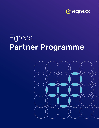

# Egress Partner Programme

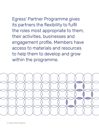Egress' Partner Programme gives its partners the flexibility to fulfil the roles most appropriate to them, their activities, businesses and engagement profile. Members have access to materials and resources to help them to develop and grow within the programme.

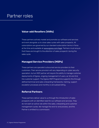# Partner roles

### **Value-add Resellers (VARs)**

These partners actively market and promote our software and services and work alongside us to close sales cycles with sales prospects. All subscriptions are governed by our standard subscription terms in force at the time and available at [www.egress.com/legal](http://www.egress.com/legal). Partners must ensure that these are brought to the attention of sales prospects' during the sales cycle.

#### **Managed Service Providers (MSPs)**

These partners are specialist outsourced service providers to their customers. Their service provision will vary depending on cyber security specialism, but an MSP partner will require the ability to manage customer deployments of Egress, ongoing management of users, as 1st and 2nd line customer support. The Egress MSP Programme supports this through defined technical and sales onboarding frameworks, training, support escalation processes and monthly or annualised billing.

### **Referral Partners**

These partners deliver value to us through the introduction of sales prospects with an identified need for our software and services. They do not want an active role within the sales, onboarding and customer management cycles. We manage the end-to-end process, and the Partner is entitled to a commission.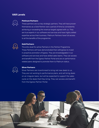### **VAR Levels**



#### Platinum Partners

These partners are our key strategic partners. They will have proven themselves as a Gold Partner over a period of time by consistently achieving or exceeding the revenue targets agreed with us. They are true experts in our software and services and have highly skilled expertise across their business. Platinum Partners have full access to all the benefits of the programme.



#### Gold Partners

The entry level for active Partners in the Partner Programme. These Partners will have demonstrated their willingness to invest in proactive promotion of Egress. They are knowledgeable in our software and services and have skilled sales teams. They can access and benefit from the Egress Partner Portal and are on performance related plans designed to promote them to Platinum status.



#### Silver Partners

Silver Partners are incentivised to bring net new deals to us. They are not working to performance plans, and will bring deals on an irregular basis, but will be expected to support the sales cycle on the deals that they bring. They can access and benefit from the Egress Partner Portal.

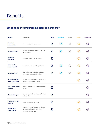

### **What does the programme offer to partners?**

| <b>Benefit</b>                              | Description                                                                                           | <b>MSP</b> | <b>Referral</b>            | Silver | <b>Gold</b> | <b>Platinum</b> |
|---------------------------------------------|-------------------------------------------------------------------------------------------------------|------------|----------------------------|--------|-------------|-----------------|
| Renewal<br>incumbency                       | Partners protection on renewals                                                                       |            | $\bm{\mathcal{C}}$         |        |             |                 |
| <b>Deal registration</b>                    | Register deals and opportunities on the<br>partner portal                                             | $(\vee)$   | $\boldsymbol{\mathcal{U}}$ |        |             |                 |
| <b>Qualify for</b><br>incentives            | Quarterly incentives offered by us                                                                    |            |                            |        |             |                 |
| Access to the<br>partner portal             | Ability to track deals and opportunities                                                              |            |                            |        |             |                 |
| <b>Egress partner</b>                       | The right to refer to itself as an Egress<br>partner and use certain branding                         |            |                            |        |             |                 |
| <b>Account mapping</b><br>with Egress sales | Access to our sales teams to assist with<br>account mapping and strategy                              |            |                            |        |             |                 |
| <b>Sales and technical</b><br>training      | Training provided by our staff to partner<br>teams                                                    |            |                            |        |             |                 |
| <b>Technical support</b>                    | Support provided by us to assist Partners<br>in their activity                                        |            |                            |        |             |                 |
| <b>Promotion on our</b><br>website          | Added to our list of Partners                                                                         |            |                            |        |             |                 |
| Not for resale<br>subscriptions             | NFR SaaS licences to use our software<br>and services internally within the<br>partner's own business |            |                            |        |             |                 |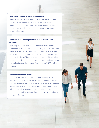#### How can Partners refer to themselves?

We allow our Partners to refer to themselves as an "Egress partner", or an "authorised reseller" of our software and services. Use of our branding is subject to additional terms, more details of which are set out below and in our programme terms and policies.

#### What are NFR subscriptions and what terms apply to them?

We recognise that it can be really helpful to have hands on experience of a SaaS service before trying to sell it. That's why we provide our Partners with the opportunity to enable their employees to access and use our software and services within their own business. These subscriptions are provided subject to our standard subscription terms in force at the time and on the understanding that they are 'not for resale' (NFR) by the partner.

#### What is required of MSPs?

As part of the MSP Programme, partners are required to complete technical and 1st and 2nd line support training. As part of the onboarding process, we align technical engineering support to a new MSP to ensure a streamlined process. MSPs will be required to manage customer deployments, ongoing management and 1st and 2nd line support, with escalation of 3rd line to Egress.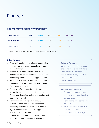### **The margins available to Partners\***

| Type of opportunity       | <b>MSP</b> | Referral   | <b>Silver</b> | Gold | Platinum |
|---------------------------|------------|------------|---------------|------|----------|
| <b>Partner generated</b>  | 50%        | $15 - 25%$ | $15%$ *       | 25%  | 30-35%   |
| <b>Partner fulfilment</b> | N/A        | 5%         | 5%            | 5%   | 5%       |

\*Margins listed may vary depending on Partner performance and specific opportunity

#### Things to note

- » The margin applies to the list price subscription fees only. Commission is not available on other fees and charges
- » All amounts due to us must be paid in full without any set-off, counterclaim, deduction or withholding (unless required by applicable law)
- » Partners are responsible for the collection and payment of all taxes, charges, levies and other fees imposed on a sale
- » Partners are fully responsible for the expenses and costs they incur in their participation in the Programme (including marketing, promotion and sale of the services)
- » Partner generated margin may be subject to a sliding scale from the year one renewal depending on whether a cross sell of another Egress product is included. This is applicable to Gold and Platinum Partners
- » The MSP Programme supports monthly and annualised billing depending on requirement

#### Referral Partners

Egress will manage the full sales and completion cycle for Referral Partners and will pay them commission due only once in full receipt of the subscription fees from the customer.

#### VAR and MSP Partners

- » Partners shall confirm each order to us and we will confirm the applicable subscription fees
- » Partners shall invoice the sales prospect
- » We will issue the Partner with an invoice for the subscription fees less the above margin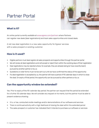# Partner Portal



### **What is it?**

An online portal currently available at [www.egress.com/partners](https://www.egress.com/partners) where Partners can register new deals (deal registrations) and track sales opportunities and closed deals.

A net new deal registration is a new sales opportunity for Egress' services with a sales prospect or existing customer.

### **How is it used?**

- » Eligible partners must deal register all sales prospects and opportunities through the partner portal
- » We will review all deal registrations and will accept or reject them within five working days of their registration
- » Deal registrations may be rejected where, for example, they are already being (or have recently been) pursued by another partner or by us
- » Quotations or order forms must not be sent out until we have confirmed the status of the opportunity
- » If a deal registration is accepted by us, the partner will have a period of 90 calendar days in which to close the deal. On expiry of that period, the opportunity can be pursued by other partners or by us

### **Can the opportunity window be extended?**

Yes. Prior to expiry of the 90-calendar day period, the partner can request that the period be extended for a further 30 calendar days. We will consider any request on its merits, but the partner must be able to present evidence showing:

- » It is, or has, conducted onsite meetings and/or demonstrations of our software and services
- » There is continued activity with a high likelihood of closing the deal within the extended period
- » The sales prospect or customer has indicated that it intends to purchase our software or services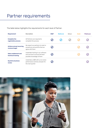# Partner requirements

The table below highlights the requirements for each level of Partner:

| <b>Requirement</b>                                | Description                                                                                         | <b>MSP</b> | <b>Referral</b> | <b>Silver</b> | Gold | <b>Platinum</b> |
|---------------------------------------------------|-----------------------------------------------------------------------------------------------------|------------|-----------------|---------------|------|-----------------|
| <b>Complete the</b><br>registration process       | All Partners are required to<br>complete this process                                               |            |                 |               |      |                 |
| <b>Achieve annual recurring</b><br>revenue target | We expect our partners to meet or<br>exceed any annual KPIs that we<br>agree with them              |            |                 |               |      |                 |
| Sales enablement and<br>technical training        | Undertake training in our software<br>and services to ensure the best<br>possible knowledge of them |            |                 |               |      |                 |
| <b>Quarterly business</b><br>review               | Undertake a OBR with us to review<br>performance activity and plan for<br>the next quarter          |            |                 |               |      |                 |

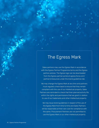## The Egress Mark

Sales partners may use the Egress Mark in accordance with the Egress Partner Programme terms and the Egress partner policies. The Egress logo can be downloaded from the Egress partner portal at egress.force.com/ partner/s/resources under the brand guidelines tab.

We may change the Egress Mark at any time and partners must regularly check back to ensure that they remain compliant with the use of our intellectual property. Sales Partners are reminded to check that their planned activity fits within the rights and permissions that we grant in relation to use of our trademarks and other intellectual property.

We may issue brand guidelines in respect of the use of the Egress Mark from time to time and Sales Partners will be responsible at their own cost for compliance with the same. Procurement Partners are not permitted to use the Egress Mark or our other intellectual property.